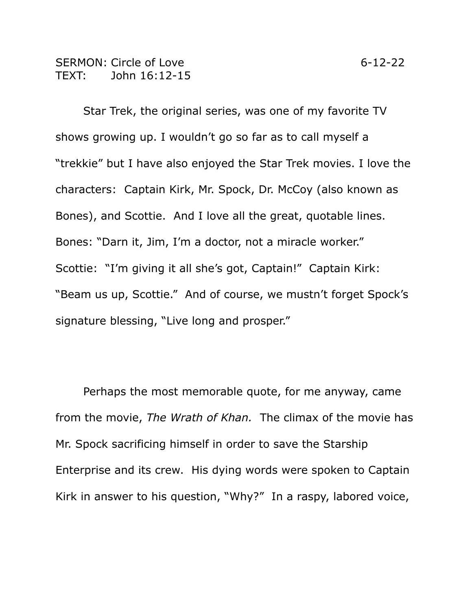## SERMON: Circle of Love 6-12-22 TEXT: John 16:12-15

Star Trek, the original series, was one of my favorite TV shows growing up. I wouldn't go so far as to call myself a "trekkie" but I have also enjoyed the Star Trek movies. I love the characters: Captain Kirk, Mr. Spock, Dr. McCoy (also known as Bones), and Scottie. And I love all the great, quotable lines. Bones: "Darn it, Jim, I'm a doctor, not a miracle worker." Scottie: "I'm giving it all she's got, Captain!" Captain Kirk: "Beam us up, Scottie." And of course, we mustn't forget Spock's signature blessing, "Live long and prosper."

Perhaps the most memorable quote, for me anyway, came from the movie, *The Wrath of Khan.* The climax of the movie has Mr. Spock sacrificing himself in order to save the Starship Enterprise and its crew. His dying words were spoken to Captain Kirk in answer to his question, "Why?" In a raspy, labored voice,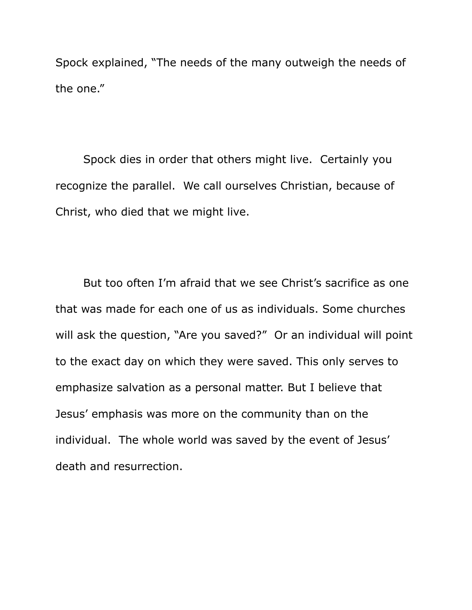Spock explained, "The needs of the many outweigh the needs of the one."

Spock dies in order that others might live. Certainly you recognize the parallel. We call ourselves Christian, because of Christ, who died that we might live.

But too often I'm afraid that we see Christ's sacrifice as one that was made for each one of us as individuals. Some churches will ask the question, "Are you saved?" Or an individual will point to the exact day on which they were saved. This only serves to emphasize salvation as a personal matter. But I believe that Jesus' emphasis was more on the community than on the individual. The whole world was saved by the event of Jesus' death and resurrection.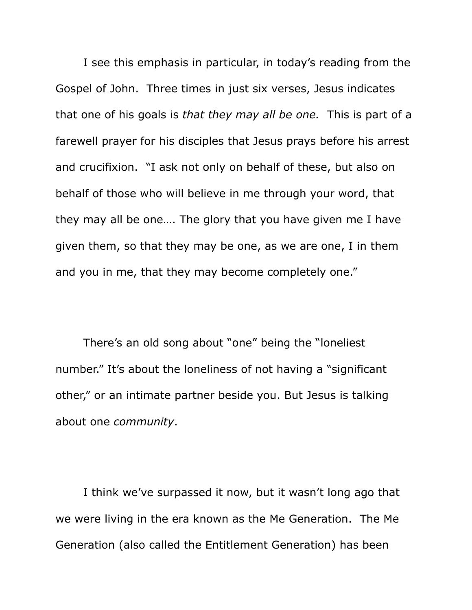I see this emphasis in particular, in today's reading from the Gospel of John. Three times in just six verses, Jesus indicates that one of his goals is *that they may all be one.* This is part of a farewell prayer for his disciples that Jesus prays before his arrest and crucifixion. "I ask not only on behalf of these, but also on behalf of those who will believe in me through your word, that they may all be one…. The glory that you have given me I have given them, so that they may be one, as we are one, I in them and you in me, that they may become completely one."

There's an old song about "one" being the "loneliest number." It's about the loneliness of not having a "significant other," or an intimate partner beside you. But Jesus is talking about one *community*.

I think we've surpassed it now, but it wasn't long ago that we were living in the era known as the Me Generation. The Me Generation (also called the Entitlement Generation) has been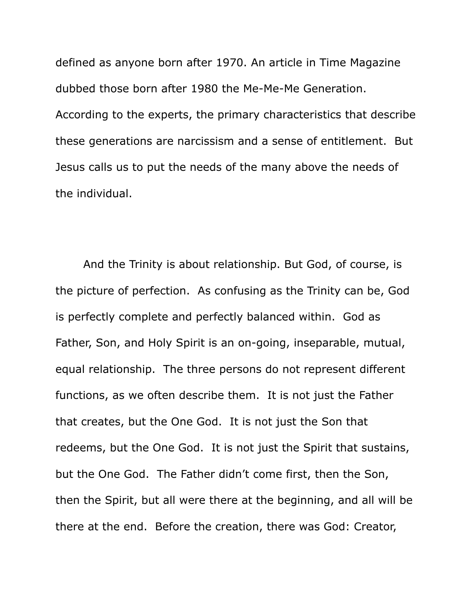defined as anyone born after 1970. An article in Time Magazine dubbed those born after 1980 the Me-Me-Me Generation. According to the experts, the primary characteristics that describe these generations are narcissism and a sense of entitlement. But Jesus calls us to put the needs of the many above the needs of the individual.

And the Trinity is about relationship. But God, of course, is the picture of perfection. As confusing as the Trinity can be, God is perfectly complete and perfectly balanced within. God as Father, Son, and Holy Spirit is an on-going, inseparable, mutual, equal relationship. The three persons do not represent different functions, as we often describe them. It is not just the Father that creates, but the One God. It is not just the Son that redeems, but the One God. It is not just the Spirit that sustains, but the One God. The Father didn't come first, then the Son, then the Spirit, but all were there at the beginning, and all will be there at the end. Before the creation, there was God: Creator,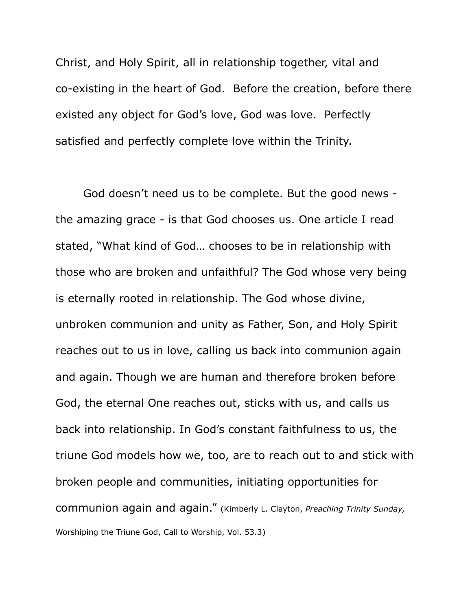Christ, and Holy Spirit, all in relationship together, vital and co-existing in the heart of God. Before the creation, before there existed any object for God's love, God was love. Perfectly satisfied and perfectly complete love within the Trinity.

God doesn't need us to be complete. But the good news the amazing grace - is that God chooses us. One article I read stated, "What kind of God… chooses to be in relationship with those who are broken and unfaithful? The God whose very being is eternally rooted in relationship. The God whose divine, unbroken communion and unity as Father, Son, and Holy Spirit reaches out to us in love, calling us back into communion again and again. Though we are human and therefore broken before God, the eternal One reaches out, sticks with us, and calls us back into relationship. In God's constant faithfulness to us, the triune God models how we, too, are to reach out to and stick with broken people and communities, initiating opportunities for communion again and again." (Kimberly L. Clayton, *Preaching Trinity Sunday,* Worshiping the Triune God, Call to Worship, Vol. 53.3)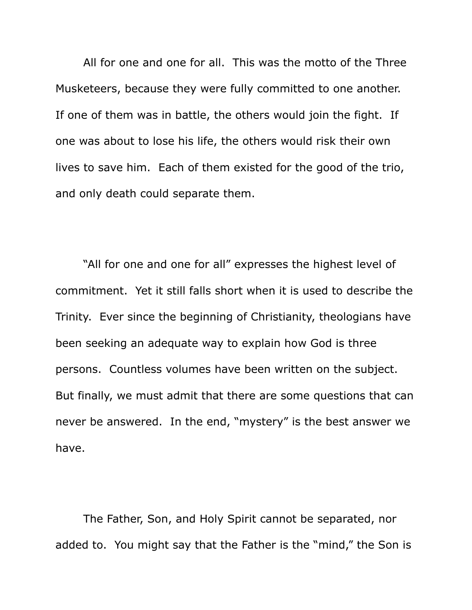All for one and one for all. This was the motto of the Three Musketeers, because they were fully committed to one another. If one of them was in battle, the others would join the fight. If one was about to lose his life, the others would risk their own lives to save him. Each of them existed for the good of the trio, and only death could separate them.

"All for one and one for all" expresses the highest level of commitment. Yet it still falls short when it is used to describe the Trinity. Ever since the beginning of Christianity, theologians have been seeking an adequate way to explain how God is three persons. Countless volumes have been written on the subject. But finally, we must admit that there are some questions that can never be answered. In the end, "mystery" is the best answer we have.

The Father, Son, and Holy Spirit cannot be separated, nor added to. You might say that the Father is the "mind," the Son is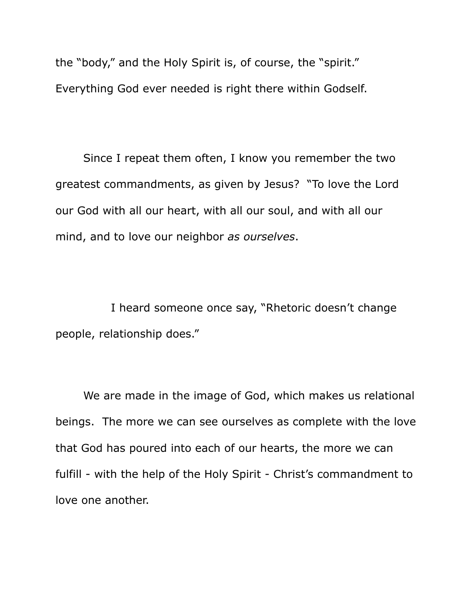the "body," and the Holy Spirit is, of course, the "spirit." Everything God ever needed is right there within Godself.

Since I repeat them often, I know you remember the two greatest commandments, as given by Jesus? "To love the Lord our God with all our heart, with all our soul, and with all our mind, and to love our neighbor *as ourselves*.

I heard someone once say, "Rhetoric doesn't change people, relationship does."

We are made in the image of God, which makes us relational beings. The more we can see ourselves as complete with the love that God has poured into each of our hearts, the more we can fulfill - with the help of the Holy Spirit - Christ's commandment to love one another.